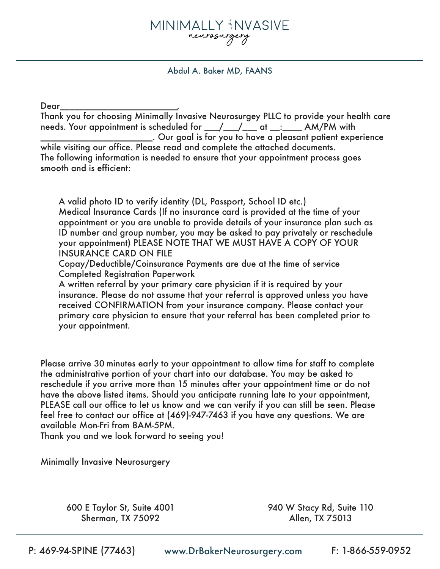## MINIMALLY ‡NVASIVE neurosurgery

Abdul A. Baker MD, FAANS

Dear\_\_\_\_\_\_\_\_\_\_\_\_\_\_\_\_\_\_\_\_\_\_\_\_,

Thank you for choosing Minimally Invasive Neurosurgey PLLC to provide your health care needs. Your appointment is scheduled for \_\_\_/\_\_\_/\_\_\_ at \_\_:\_\_\_\_ AM/PM with  $\_\_$ . Our goal is for you to have a pleasant patient experience while visiting our office. Please read and complete the attached documents. The following information is needed to ensure that your appointment process goes smooth and is efficient:

A valid photo ID to verify identity (DL, Passport, School ID etc.) Medical Insurance Cards (If no insurance card is provided at the time of your appointment or you are unable to provide details of your insurance plan such as ID number and group number, you may be asked to pay privately or reschedule your appointment) PLEASE NOTE THAT WE MUST HAVE A COPY OF YOUR INSURANCE CARD ON FILE

Copay/Deductible/Coinsurance Payments are due at the time of service Completed Registration Paperwork

A written referral by your primary care physician if it is required by your insurance. Please do not assume that your referral is approved unless you have received CONFIRMATION from your insurance company. Please contact your primary care physician to ensure that your referral has been completed prior to your appointment.

Please arrive 30 minutes early to your appointment to allow time for staff to complete the administrative portion of your chart into our database. You may be asked to reschedule if you arrive more than 15 minutes after your appointment time or do not have the above listed items. Should you anticipate running late to your appointment, PLEASE call our office to let us know and we can verify if you can still be seen. Please feel free to contact our office at (469)-947-7463 if you have any questions. We are available Mon-Fri from 8AM-5PM.

Thank you and we look forward to seeing you!

Minimally Invasive Neurosurgery

600 E Taylor St, Suite 4001 Sherman, TX 75092

940 W Stacy Rd, Suite 110 Allen, TX 75013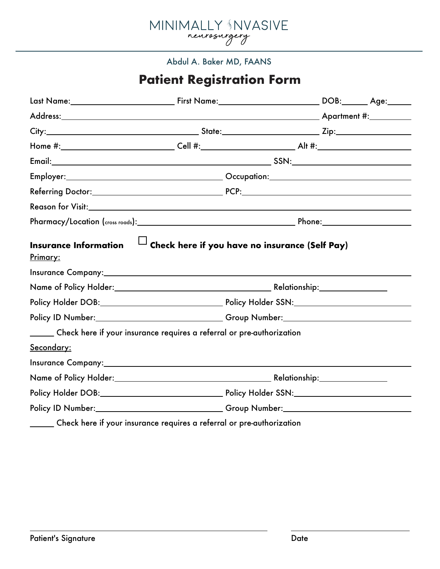

## Abdul A. Baker MD, FAANS

## **Patient Registration Form**

|                                                                              |                                                                       | Home #:____________________________Cell #:_________________________Alt #:__________________________ |  |
|------------------------------------------------------------------------------|-----------------------------------------------------------------------|-----------------------------------------------------------------------------------------------------|--|
|                                                                              |                                                                       |                                                                                                     |  |
|                                                                              |                                                                       |                                                                                                     |  |
|                                                                              |                                                                       |                                                                                                     |  |
|                                                                              |                                                                       |                                                                                                     |  |
|                                                                              |                                                                       |                                                                                                     |  |
|                                                                              |                                                                       |                                                                                                     |  |
|                                                                              |                                                                       |                                                                                                     |  |
|                                                                              |                                                                       | Policy ID Number: Cambridge Comp Number: Comp Number:                                               |  |
| ______ Check here if your insurance requires a referral or pre-authorization |                                                                       |                                                                                                     |  |
| <u>Secondary:</u>                                                            |                                                                       |                                                                                                     |  |
|                                                                              |                                                                       |                                                                                                     |  |
|                                                                              |                                                                       |                                                                                                     |  |
|                                                                              |                                                                       |                                                                                                     |  |
|                                                                              | Policy ID Number: Change of Croup Number: Croup Number:               |                                                                                                     |  |
|                                                                              | Check here if your insurance requires a referral or pre-authorization |                                                                                                     |  |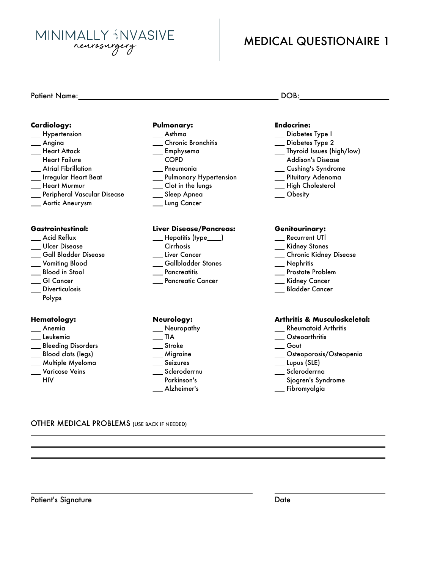**MINIMALLY NVASIVE** neurosurgery

## MEDICAL QUESTIONAIRE 1

#### **Cardiology:**

- \_\_ Hypertension
- Angina
- \_\_ Heart Attack
- \_\_ Heart Failure
- Atrial Fibrillation
- Irregular Heart Beat
- Heart Murmur
- Peripheral Vascular Disease
- Aortic Aneurysm

#### **Gastrointestinal:**

- \_\_ Acid Reflux
- \_\_ Ulcer Disease
- Gall Bladder Disease
- Vomiting Blood
- Blood in Stool
- \_\_ GI Cancer
- \_\_ Diverticulosis
- Polyps

#### **Hematology:**

- Anemia
- <u>\_\_</u> Leukemia
- \_\_ Bleeding Disorders
- \_\_ Blood clots (legs)
- Multiple Myeloma
- Varicose Veins
- $\equiv$ HIV

#### **Pulmonary:**

- Asthma
- \_\_ Chronic Bronchitis
- Emphysema
- $\overline{\phantom{0}}$  COPD
- Pneumonia
- \_ Pulmonary Hypertension
- \_\_ Clot in the lungs
- \_\_ Sleep Apnea
- \_\_ Lung Cancer

#### **Liver Disease/Pancreas:**

- \_\_ Hepatitis (type\_\_\_)
- \_\_ Cirrhosis
- \_\_ Liver Cancer
- Gallbladder Stones
- \_\_ Pancreatitis
- **Pancreatic Cancer**

#### **Neurology:**

- \_\_ Neuropathy
- $\overline{\phantom{a}}$ TIA
- \_\_ Stroke
- \_\_ Migraine
- \_\_ Seizures \_\_ Scleroderrnu
- Parkinson's
- Alzheimer's

- **Endocrine:**
- \_\_ Diabetes Type I
- 
- 
- 
- 
- 
- \_\_ High Cholesterol
- 

#### **Genitourinary:**

- \_\_ Recurrent UTI
- \_\_ Kidney Stones
- \_\_ Chronic Kidney Disease
- Nephritis
- \_\_ Prostate Problem
- \_\_ Kidney Cancer
- Bladder Cancer

#### **Arthritis & Musculoskeletal:**

- \_\_ Rheumatoid Arthritis
- \_\_ Osteoarthritis
- Gout
- Osteoporosis/Osteopenia
- Lupus (SLE)
- \_\_ Scleroderrna
- \_\_ Sjogren's Syndrome
- Fibromyalgia

#### OTHER MEDICAL PROBLEMS (USE BACK IF NEEDED)

- - \_\_ Diabetes Type 2
	- Thyroid Issues (high/low)
	- \_\_ Addison's Disease
	- \_\_ Cushing's Syndrome
	- Pituitary Adenoma
	-
	- Obesity

# Patient Name: DOB: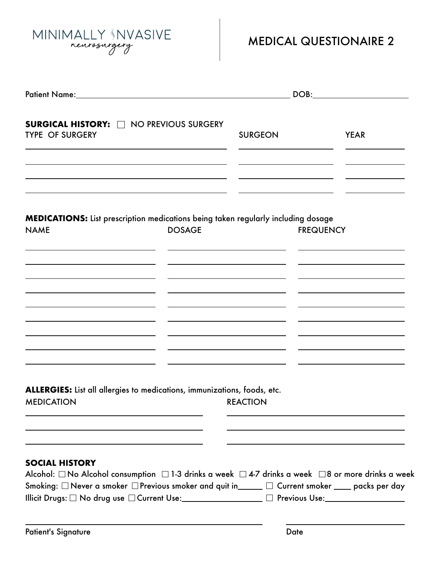MINIMALLY NVASIVE

# MEDICAL QUESTIONAIRE 2

| <b>SURGICAL HISTORY: CONFIDENTIAL NO PREVIOUS SURGERY</b><br><b>TYPE OF SURGERY</b>                                                                                                                                                                                                                                                          |               | <b>SURGEON</b>  |                  | <b>YEAR</b> |
|----------------------------------------------------------------------------------------------------------------------------------------------------------------------------------------------------------------------------------------------------------------------------------------------------------------------------------------------|---------------|-----------------|------------------|-------------|
|                                                                                                                                                                                                                                                                                                                                              |               |                 |                  |             |
| <b>MEDICATIONS:</b> List prescription medications being taken regularly including dosage<br><b>NAME</b>                                                                                                                                                                                                                                      | <b>DOSAGE</b> |                 | <b>FREQUENCY</b> |             |
|                                                                                                                                                                                                                                                                                                                                              |               |                 |                  |             |
|                                                                                                                                                                                                                                                                                                                                              |               |                 |                  |             |
|                                                                                                                                                                                                                                                                                                                                              |               |                 |                  |             |
| ALLERGIES: List all allergies to medications, immunizations, foods, etc.<br><b>MEDICATION</b>                                                                                                                                                                                                                                                |               | <b>REACTION</b> |                  |             |
| <b>SOCIAL HISTORY</b>                                                                                                                                                                                                                                                                                                                        |               |                 |                  |             |
| Alcohol: $\Box$ No Alcohol consumption $\Box$ 1-3 drinks a week $\Box$ 4-7 drinks a week $\Box$ 8 or more drinks a week<br>Smoking: $\Box$ Never a smoker $\Box$ Previous smoker and quit in_____ $\Box$ Current smoker ____ packs per day<br>Illicit Drugs: □ No drug use □ Current Use:__________________ □ Previous Use:_________________ |               |                 |                  |             |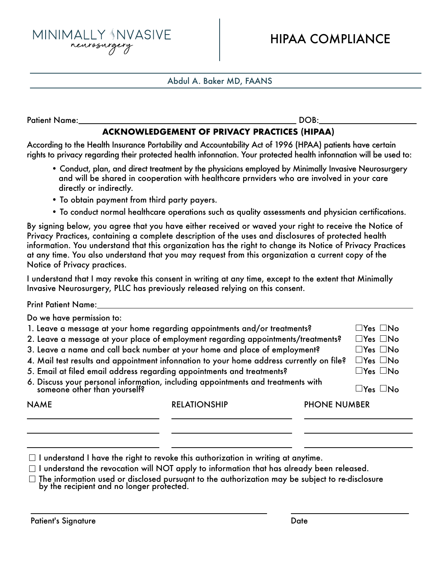MINIMALLY NVASIVE neurosurge

## Abdul A. Baker MD, FAANS

Patient Name: DOB:

## **ACKNOWLEDGEMENT OF PRIVACY PRACTICES (HIPAA)**

According to the Health Insurance Portability and Accountability Act of 1996 (HPAA) patients have certain rights to privacy regarding their protected health infonnation. Your protected health infonnation will be used to:

- Conduct, plan, and direct treatment by the physicians employed by Minimally Invasive Neurosurgery and will be shared in cooperation with healthcare prnviders who are involved in your care directly or indirectly.
- To obtain payment from third party payers.
- To conduct normal healthcare operations such as quality assessments and physician certifications.

By signing below, you agree that you have either received or waved your right to receive the Notice of Privacy Practices, containing a complete description of the uses and disclosures of protected health information. You understand that this organization has the right to change its Notice of Privacy Practices at any time. You also understand that you may request from this organization a current copy of the Notice of Privacy practices.

I understand that I may revoke this consent in writing at any time, except to the extent that Minimally Invasive Neurosurgery, PLLC has previously released relying on this consent.

| <b>Print Patient Name:</b>                                                                                    |                     |                     |                       |  |
|---------------------------------------------------------------------------------------------------------------|---------------------|---------------------|-----------------------|--|
| Do we have permission to:                                                                                     |                     |                     |                       |  |
| 1. Leave a message at your home regarding appointments and/or treatments?                                     |                     |                     | $\Box$ Yes $\Box$ No  |  |
| 2. Leave a message at your place of employment regarding appointments/treatments?<br>$\Box$ Yes $\Box$ No     |                     |                     |                       |  |
| 3. Leave a name and call back number at your home and place of employment?                                    |                     |                     | $\Box$ Yes $\Box$ No  |  |
| 4. Mail test results and appointment infonnation to your home address currently on file?                      |                     |                     | $\Box Y$ es $\Box$ No |  |
| 5. Email at filed email address regarding appointments and treatments?<br>$\square$ Yes $\square$ No          |                     |                     |                       |  |
| 6. Discuss your personal information, including appointments and treatments with someone other than yourself? |                     |                     | $\Box$ Yes $\Box$ No  |  |
| <b>NAME</b>                                                                                                   | <b>RELATIONSHIP</b> | <b>PHONE NUMBER</b> |                       |  |
|                                                                                                               |                     |                     |                       |  |

- $\Box$  I understand I have the right to revoke this authorization in writing at anytime.
- $\Box$  I understand the revocation will NOT apply to information that has already been released.
- $\Box$  The information used or disclosed pursuant to the authorization may be subject to re-disclosure by the recipient and no longer protected.

Patient's Signature Date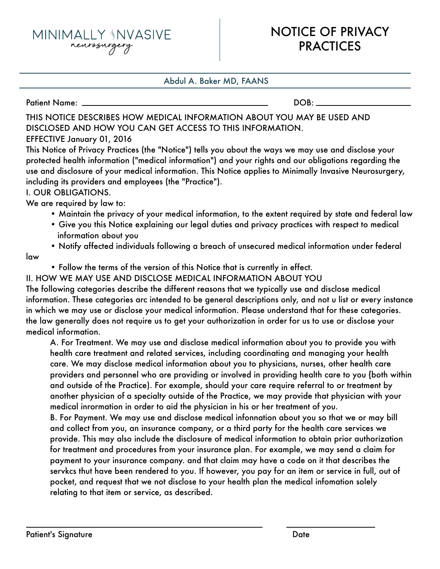MINIMALLY NVASIVE neurosurgery

## Abdul A. Baker MD, FAANS

Patient Name: DOB:

## THIS NOTICE DESCRIBES HOW MEDICAL INFORMATION ABOUT YOU MAY BE USED AND DISCLOSED AND HOW YOU CAN GET ACCESS TO THIS INFORMATION.

## EFFECTIVE January 01, 2016

This Notice of Privacy Practices (the "Notice") tells you about the ways we may use and disclose your protected health information ("medical information") and your rights and our obligations regarding the use and disclosure of your medical information. This Notice applies to Minimally Invasive Neurosurgery, including its providers and employees (the "Practice").

## I. OUR OBLIGATIONS.

We are required by law to:

- Maintain the privacy of your medical information, to the extent required by state and federal law
- Give you this Notice explaining our legal duties and privacy practices with respect to medical information about you
- Notify affected individuals following a breach of unsecured medical information under federal
- law
- Follow the terms of the version of this Notice that is currently in effect.

### II. HOW WE MAY USE AND DISCLOSE MEDICAL INFORMATION ABOUT YOU The following categories describe the different reasons that we typically use and disclose medical information. These categories arc intended to be general descriptions only, and not u list or every instance in which we may use or disclose your medical information. Please understand that for these categories. the law generally does not require us to get your authorization in order for us to use or disclose your medical information.

 A. For Treatment. We may use and disclose medical information about you to provide you with health care treatment and related services, including coordinating and managing your health care. We may disclose medical information about you to physicians, nurses, other health care providers and personnel who are providing or involved in providing health care to you {both within and outside of the Practice). For example, should your care require referral to or treatment by another physician of a specialty outside of the Practice, we may provide that physician with your medical inrormation in order to aid the physician in his or her treatment of you.

 B. For Payment. We may use and disclose medical infonnation about you so that we or may bill and collect from you, an insurance company, or a third party for the health care services we provide. This may also include the disclosure of medical information to obtain prior authorization for treatment and procedures from your insurance plan. For example, we may send a claim for payment to your insurance company. and that claim may have a code on it that describes the servkcs thut have been rendered to you. If however, you pay for an item or service in full, out of pocket, and request that we not disclose to your health plan the medical infomation solely relating to that item or service, as described.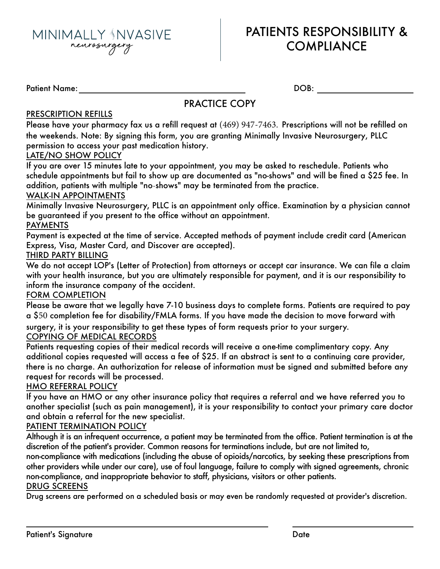

## PATIENTS RESPONSIBILITY & **COMPLIANCE**

Patient Name: DOB:

## PRACTICE COPY

## PRESCRIPTION REFILLS

Please have your pharmacy fax us a refill request at (469) 947-7463. Prescriptions will not be refilled on the weekends. Note: By signing this form, you are granting Minimally Invasive Neurosurgery, PLLC permission to access your past medication history.

### LATE/NO SHOW POLICY

If you are over 15 minutes late to your appointment, you may be asked to reschedule. Patients who schedule appointments but fail to show up are documented as "no-shows" and will be fined a \$25 fee. In addition, patients with multiple "no-shows" may be terminated from the practice.

### WALK-IN APPOINTMENTS

Minimally Invasive Neurosurgery, PLLC is an appointment only office. Examination by a physician cannot be guaranteed if you present to the office without an appointment.

### PAYMENTS

Payment is expected at the time of service. Accepted methods of payment include credit card (American Express, Visa, Master Card, and Discover are accepted).

### THIRD PARTY BILLING

We do not accept LOP's (Letter of Protection) from attorneys or accept car insurance. We can file a claim with your health insurance, but you are ultimately responsible for payment, and it is our responsibility to inform the insurance company of the accident.

### FORM COMPLETION

Please be aware that we legally have 7-10 business days to complete forms. Patients are required to pay a \$50 completion fee for disability/FMLA forms. If you have made the decision to move forward with

surgery, it is your responsibility to get these types of form requests prior to your surgery.

## COPYING OF MEDICAL RECORDS

Patients requesting copies of their medical records will receive a one-time complimentary copy. Any additional copies requested will access a fee of \$25. If an abstract is sent to a continuing care provider, there is no charge. An authorization for release of information must be signed and submitted before any request for records will be processed.

### HMO REFERRAL POLICY

If you have an HMO or any other insurance policy that requires a referral and we have referred you to another specialist (such as pain management), it is your responsibility to contact your primary care doctor and obtain a referral for the new specialist.

### PATIENT TERMINATION POLICY

Although it is an infrequent occurrence, a patient may be terminated from the office. Patient termination is at the discretion of the patient's provider. Common reasons for terminations include, but are not limited to,

non-compliance with medications (including the abuse of opioids/narcotics, by seeking these prescriptions from other providers while under our care), use of foul language, failure to comply with signed agreements, chronic non-compliance, and inappropriate behavior to staff, physicians, visitors or other patients.

### DRUG SCREENS

Drug screens are performed on a scheduled basis or may even be randomly requested at provider's discretion.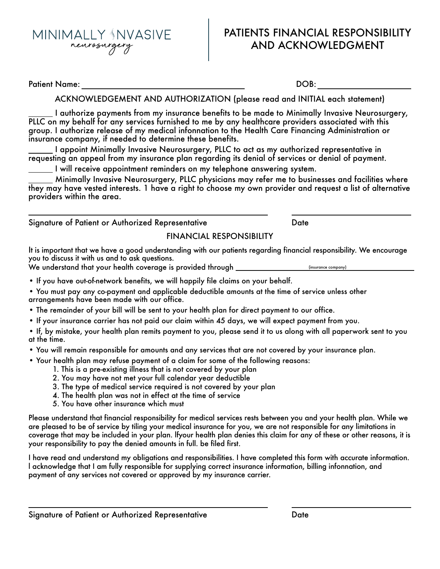

## PATIENTS FINANCIAL RESPONSIBILITY AND ACKNOWLEDGMENT

Patient Name: DOB:

ACKNOWLEDGEMENT AND AUTHORIZATION (please read and INITIAL each statement)

I authorize payments from my insurance benefits to be made to Minimally Invasive Neurosurgery, PLLC on my behalf for any services furnished to me by any healthcare providers associated with this group. I authorize release of my medical infonnation to the Health Care Financing Administration or insurance company, if needed to determine these benefits.

I appoint Minimally Invasive Neurosurgery, PLLC to act as my authorized representative in requesting an appeal from my insurance plan regarding its denial of services or denial of payment.

I will receive appointment reminders on my telephone answering system.

Minimally Invasive Neurosurgery, PLLC physicians may refer me to businesses and facilities where they may have vested interests. 1 have a right to choose my own provider and request a list of alternative providers within the area.

Signature of Patient or Authorized Representative Theorem Content of Pate

## FINANCIAL RESPONSIBILITY

It is important that we have a good understanding with our patients regarding financial responsibility. We encourage you to discuss it with us and to ask questions.

We understand that your health coverage is provided through **we are allocated** (insurance company)

- If you have out-of-network benefits, we will happily file claims on your behalf.
- You must pay any co-payment and applicable deductible amounts at the time of service unless other arrangements have been made with our office.
- The remainder of your bill will be sent to your health plan for direct payment to our office.
- If your insurance carrier has not paid our claim within 45 days, we will expect payment from you.

• If, by mistake, your health plan remits payment to you, please send it to us along with all paperwork sent to you at the time.

- You will remain responsible for amounts and any services that are not covered by your insurance plan.
- Your health plan may refuse payment of a claim for some of the following reasons:
	- 1. This is a pre-existing illness that is not covered by your plan
	- 2. You may have not met your full calendar year deductible
	- 3. The type of medical service required is not covered by your plan
	- 4. The health plan was not in effect at the time of service
	- 5. You have other insurance which must

Please understand that financial responsibility for medical services rests between you and your health plan. While we are pleased to be of service by tiling your medical insurance for you, we are not responsible for any limitations in coverage that may be included in your plan. lfyour health plan denies this claim for any of these or other reasons, it is your responsibility to pay the denied amounts in full. be filed first.

I have read and understand my obligations and responsibilities. I have completed this form with accurate information. l acknowledge that I am fully responsible for supplying correct insurance information, billing infonnation, and payment of any services not covered or approved by my insurance carrier.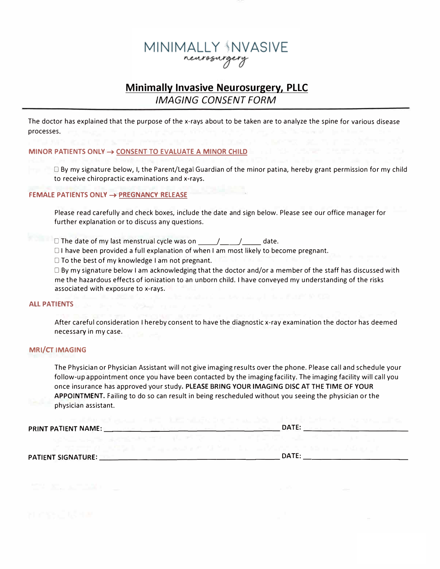## MINIMALLY \$NVASIVE neurosurge

## *IMAGING CONSENT FORM* **Minimally Invasive Neurosurgery, PLLC**

The doctor has explained that the purpose of the x-rays about to be taken are to analyze the spine for various disease processes.

#### MINOR PATIENTS ONLY  $\rightarrow$  CONSENT TO EVALUATE A MINOR CHILD

 $\Box$  By my signature below, I, the Parent/Legal Guardian of the minor patina, hereby grant permission for my child to receive chiropractic examinations and x-rays.

#### $\mathsf{FEMALE}$  PATIENTS ONLY  $\rightarrow$  <u>PREGNANCY RELEASE</u>

Please read carefully and check boxes, include the date and sign below. Please see our office manager for further explanation or to discuss any questions.

□ The date of my last menstrual cycle was on <u>\_\_\_\_\_/\_\_\_\_/</u>\_\_\_\_\_ date.

 $\Box$  I have been provided a full explanation of when I am most likely to become pregnant.

 $\Box$  To the best of my knowledge I am not pregnant.

 $\Box$  By my signature below I am acknowledging that the doctor and/or a member of the staff has discussed with me the hazardous effects of ionization to an unborn child. I have conveyed my understanding of the risks associated with exposure to x-rays.

#### **ALL PATIENTS**

After careful consideration I hereby consent to have the diagnostic x-ray examination the doctor has deemed necessary in my case.

## **MRI/CT IMAGING**

The Physician or Physician Assistant will not give imaging results over the phone. Please call and schedule your follow-up appointment once you have been contacted by the imaging facility. The imaging facility will call you  $i$ once insurance has approved your study. PLEASE BRING YOUR IMAGING DISC AT THE TIME OF YOUR APPOINTMENT. Failing to do so can result in being rescheduled without you seeing the physician or the physician assistant.

| PRINT PATIENT NAME: | <b>DATE</b> |
|---------------------|-------------|
|                     |             |

**/4!(4Q3!\*691Q@ICJBKCJIICKCJBIACLQ8QMKJBCJBCJKQ@**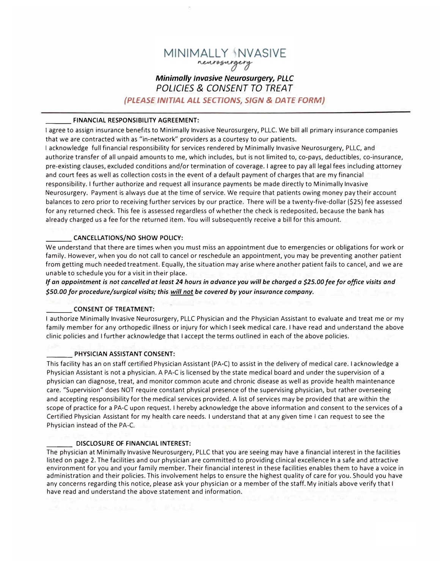## MINIMALLY <sup>{</sup>NVASIVE neurosurgery **Minimally Invasive Neurosurgery, PLLC**

## POLICIES & CONSENT TO TREAT

(PLEASE INITIAL ALL SECTIONS, SIGN & DATE FORM)

#### FINANCIAL RESPONSIBILITY AGREEMENT:

I agree to assign insurance benefits to Minimally Invasive Neurosurgery, PLLC. We bill all primary insurance companies that we are contracted with as "in-network" providers as a courtesy to our patients.

I acknowledge full financial responsibility for services rendered by Minimally Invasive Neurosurgery, PLLC, and authorize transfer of all unpaid amounts to me, which includes, but is not limited to, co-pays, deductibles, co-insurance, pre-existing clauses, excluded conditions and/or termination of coverage. I agree to pay all legal fees including attorney and court fees as well as collection costs in the event of a default payment of charges that are my financial responsibility. I further authorize and request all insurance payments be made directly to Minimally Invasive Neurosurgery. Payment is always due at the time of service. We require that patients owing money pay their account balances to zero prior to receiving further services by our practice. There will be a twenty-five-dollar (\$25) fee assessed for any returned check. This fee is assessed regardless of whether the check is redeposited, because the bank has already charged us a fee for the returned item. You will subsequently receive a bill for this amount.

#### **CANCELLATIONS/NO SHOW POLICY:**

We understand that there are times when you must miss an appointment due to emergencies or obligations for work or family. However, when you do not call to cancel or reschedule an appointment, you may be preventing another patient from getting much needed treatment. Equally, the situation may arise where another patient fails to cancel, and we are unable to schedule you for a visit in their place.

If an appointment is not cancelled at least 24 hours in advance you will be charged a \$25.00 fee for office visits and \$50.00 for procedure/surgical visits; this will not be covered by your insurance company.

#### **CONSENT OF TREATMENT:**

I authorize Minimally Invasive Neurosurgery, PLLC Physician and the Physician Assistant to evaluate and treat me or my family member for any orthopedic illness or injury for which I seek medical care. I have read and understand the above clinic policies and I further acknowledge that I accept the terms outlined in each of the above policies.

#### PHYSICIAN ASSISTANT CONSENT:

This facility has an on staff certified Physician Assistant (PA-C) to assist in the delivery of medical care. I acknowledge a Physician Assistant is not a physician. A PA-C is licensed by the state medical board and under the supervision of a physician can diagnose, treat, and monitor common acute and chronic disease as well as provide health maintenance care. "Supervision" does NOT require constant physical presence of the supervising physician, but rather overseeing and accepting responsibility for the medical services provided. A list of services may be provided that are within the scope of practice for a PA-C upon request. I hereby acknowledge the above information and consent to the services of a Certified Physician Assistant for my health care needs. I understand that at any given time I can request to see the Physician instead of the PA-C.

#### **DISCLOSURE OF FINANCIAL INTEREST:**

The physician at Minimally Invasive Neurosurgery, PLLC that you are seeing may have a financial interest in the facilities listed on page 2. The facilities and our physician are committed to providing clinical excellence In a safe and attractive environment for you and your family member. Their financial interest in these facilities enables them to have a voice in administration and their policies. This involvement helps to ensure the highest quality of care for you. Should you have any concerns regarding this notice, please ask your physician or a member of the staff. My initials above verify that I have read and understand the above statement and information.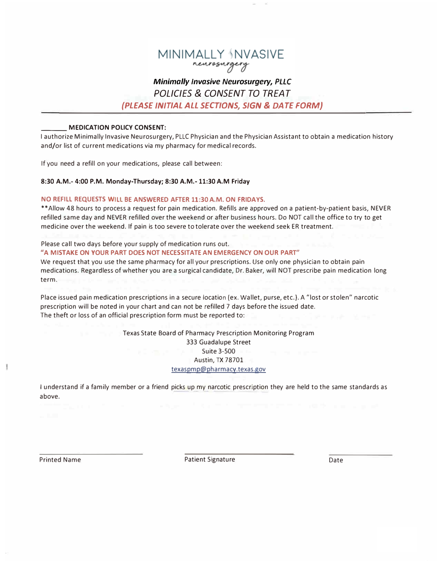

#### **Minimally Invasive Neurosurgery, PLLC** POLICIES & CONSENT TO TREAT

(PLEASE INITIAL ALL SECTIONS, SIGN & DATE FORM)

#### **MEDICATION POLICY CONSENT:**

I authorize Minimally Invasive Neurosurgery, PLLC Physician and the Physician Assistant to obtain a medication history and/or list of current medications via my pharmacy for medical records.

If you need a refill on your medications, please call between:

#### 8:30 A.M.- 4:00 P.M. Monday-Thursday; 8:30 A.M.- 11:30 A.M Friday

#### NO REFILL REQUESTS WILL BE ANSWERED AFTER 11:30 A.M. ON FRIDAYS.

\*\* Allow 48 hours to process a request for pain medication. Refills are approved on a patient-by-patient basis, NEVER refilled same day and NEVER refilled over the weekend or after business hours. Do NOT call the office to try to get medicine over the weekend. If pain is too severe to tolerate over the weekend seek ER treatment.

### Please call two days before your supply of medication runs out. "A MISTAKE ON YOUR PART DOES NOT NECESSITATE AN EMERGENCY ON OUR PART"

We request that you use the same pharmacy for all your prescriptions. Use only one physician to obtain pain medications. Regardless of whether you are a surgical candidate, Dr. Baker, will NOT prescribe pain medication long term.

Place issued pain medication prescriptions in a secure location (ex. Wallet, purse, etc.). A "lost or stolen" narcotic prescription will be noted in your chart and can not be refilled 7 days before the issued date. The theft or loss of an official prescription form must be reported to:

#### Texas State Board of Pharmacy Prescription Monitoring Program 333 Guadalupe Street **Suite 3-500** Austin, TX 78701 texaspmp@pharmacy.texas.gov

I understand if a family member or a friend picks up my narcotic prescription they are held to the same standards as above.

**Printed Name** 

**Patient Signature** 

Date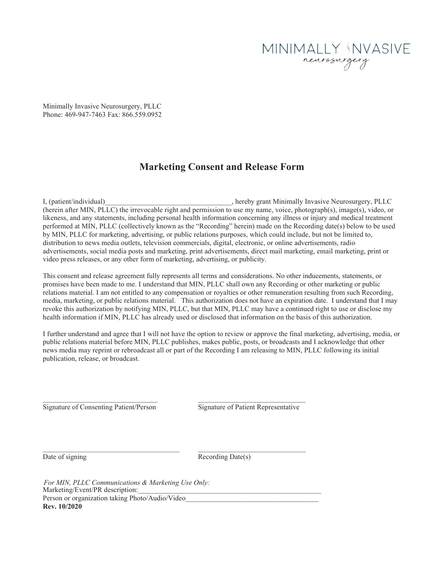

Minimally Invasive Neurosurgery, PLLC Phone: 469-947-7463 Fax: 866.559.0952

## **Marketing Consent and Release Form**

I, (patient/individual)\_\_\_\_\_\_\_\_\_\_\_\_\_\_\_\_\_\_\_\_\_\_\_\_\_\_\_\_\_\_\_, hereby grant Minimally Invasive Neurosurgery, PLLC (herein after MIN, PLLC) the irrevocable right and permission to use my name, voice, photograph(s), image(s), video, or likeness, and any statements, including personal health information concerning any illness or injury and medical treatment performed at MIN, PLLC (collectively known as the "Recording" herein) made on the Recording date(s) below to be used by MIN, PLLC for marketing, advertising, or public relations purposes, which could include, but not be limited to, distribution to news media outlets, television commercials, digital, electronic, or online advertisements, radio advertisements, social media posts and marketing, print advertisements, direct mail marketing, email marketing, print or video press releases, or any other form of marketing, advertising, or publicity.

This consent and release agreement fully represents all terms and considerations. No other inducements, statements, or promises have been made to me. I understand that MIN, PLLC shall own any Recording or other marketing or public relations material. I am not entitled to any compensation or royalties or other remuneration resulting from such Recording, media, marketing, or public relations material. This authorization does not have an expiration date. I understand that I may revoke this authorization by notifying MIN, PLLC, but that MIN, PLLC may have a continued right to use or disclose my health information if MIN, PLLC has already used or disclosed that information on the basis of this authorization.

I further understand and agree that I will not have the option to review or approve the final marketing, advertising, media, or public relations material before MIN, PLLC publishes, makes public, posts, or broadcasts and I acknowledge that other news media may reprint or rebroadcast all or part of the Recording I am releasing to MIN, PLLC following its initial publication, release, or broadcast.

Signature of Consenting Patient/Person Signature of Patient Representative

\_\_\_\_\_\_\_\_\_\_\_\_\_\_\_\_\_\_\_\_\_\_\_\_\_\_\_\_\_\_\_\_\_\_\_\_\_\_

 $\_$  , and the state of the state of the state of the state of the state of the state of the state of the state of the state of the state of the state of the state of the state of the state of the state of the state of the

\_\_\_\_\_\_\_\_\_\_\_\_\_\_\_\_\_\_\_\_\_\_\_\_\_\_\_\_\_\_

Date of signing

Recording Date(s)

Marketing/Event/PR description: Person or organization taking Photo/Audio/Video\_ **Rev. 10/2020** For MIN, PLLC Communications & Marketing Use Only: